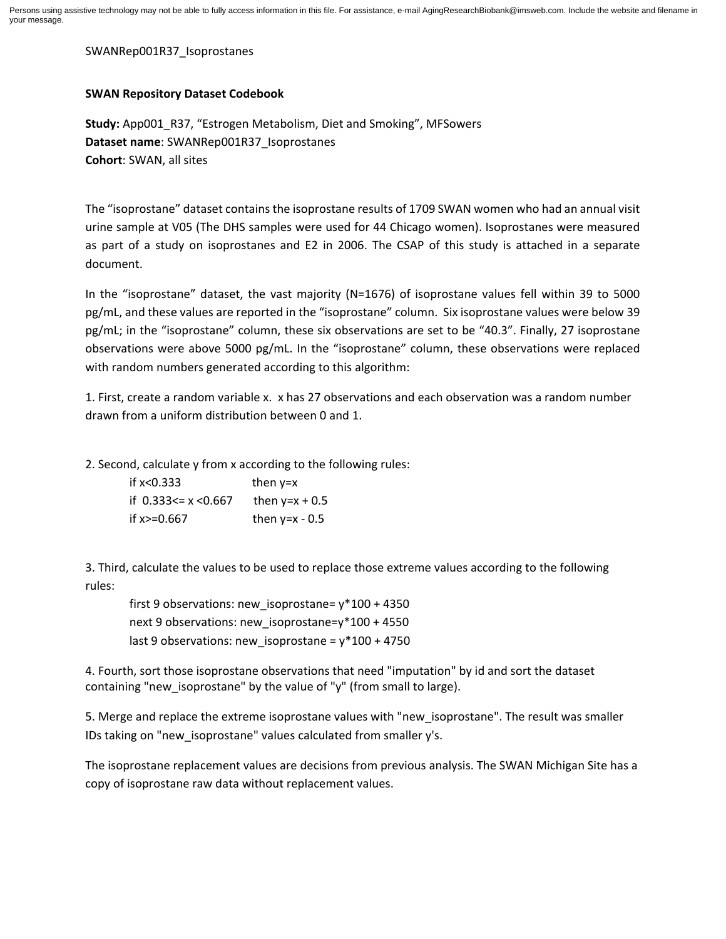SWANRep001R37\_Isoprostanes

## **SWAN Repository Dataset Codebook**

**Study:** App001\_R37, "Estrogen Metabolism, Diet and Smoking", MFSowers **Dataset name**: SWANRep001R37\_Isoprostanes **Cohort**: SWAN, all sites

The "isoprostane" dataset contains the isoprostane results of 1709 SWAN women who had an annual visit urine sample at V05 (The DHS samples were used for 44 Chicago women). Isoprostanes were measured as part of a study on isoprostanes and E2 in 2006. The CSAP of this study is attached in a separate document.

In the "isoprostane" dataset, the vast majority (N=1676) of isoprostane values fell within 39 to 5000 pg/mL, and these values are reported in the "isoprostane" column. Six isoprostane values were below 39 pg/mL; in the "isoprostane" column, these six observations are set to be "40.3". Finally, 27 isoprostane observations were above 5000 pg/mL. In the "isoprostane" column, these observations were replaced with random numbers generated according to this algorithm:

1. First, create a random variable x. x has 27 observations and each observation was a random number drawn from a uniform distribution between 0 and 1.

2. Second, calculate y from x according to the following rules:

| if $x < 0.333$             | then $v=x$       |
|----------------------------|------------------|
| if $0.333 \le x \le 0.667$ | then $y=x + 0.5$ |
| if $x > = 0.667$           | then $y=x - 0.5$ |

3. Third, calculate the values to be used to replace those extreme values according to the following rules:

 first 9 observations: new\_isoprostane= y\*100 + 4350 next 9 observations: new isoprostane=y\*100 + 4550 last 9 observations: new isoprostane =  $y*100 + 4750$ 

4. Fourth, sort those isoprostane observations that need "imputation" by id and sort the dataset containing "new\_isoprostane" by the value of "y" (from small to large).

5. Merge and replace the extreme isoprostane values with "new\_isoprostane". The result was smaller IDs taking on "new\_isoprostane" values calculated from smaller y's.

The isoprostane replacement values are decisions from previous analysis. The SWAN Michigan Site has a copy of isoprostane raw data without replacement values.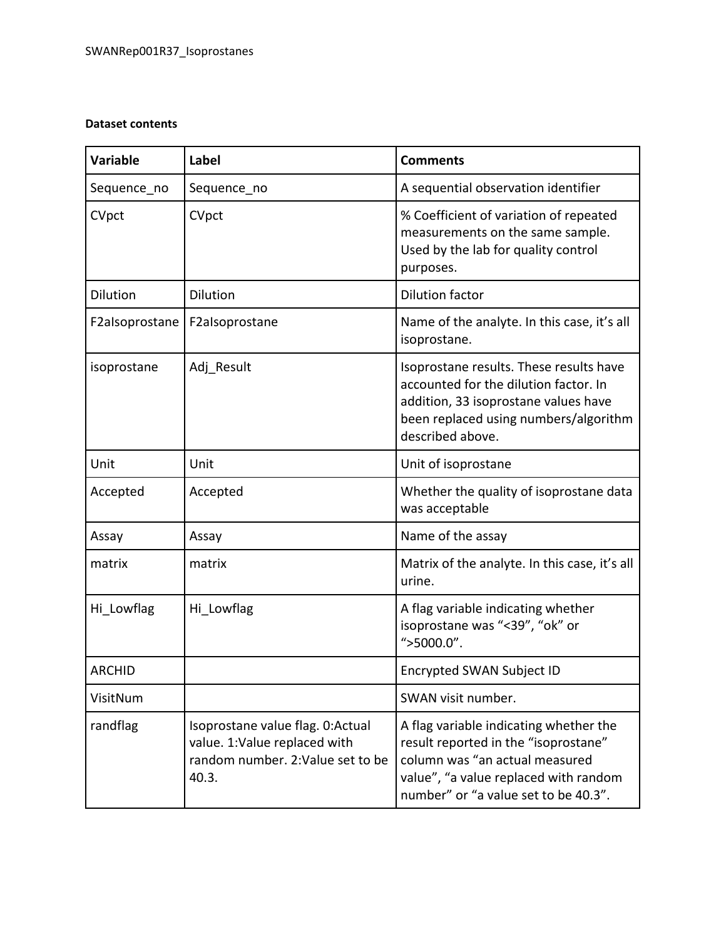## **Dataset contents**

| <b>Variable</b> | Label                                                                                                           | <b>Comments</b>                                                                                                                                                                                   |
|-----------------|-----------------------------------------------------------------------------------------------------------------|---------------------------------------------------------------------------------------------------------------------------------------------------------------------------------------------------|
| Sequence no     | Sequence no                                                                                                     | A sequential observation identifier                                                                                                                                                               |
| CVpct           | CVpct                                                                                                           | % Coefficient of variation of repeated<br>measurements on the same sample.<br>Used by the lab for quality control<br>purposes.                                                                    |
| <b>Dilution</b> | <b>Dilution</b>                                                                                                 | <b>Dilution factor</b>                                                                                                                                                                            |
| F2alsoprostane  | F2alsoprostane                                                                                                  | Name of the analyte. In this case, it's all<br>isoprostane.                                                                                                                                       |
| isoprostane     | Adj Result                                                                                                      | Isoprostane results. These results have<br>accounted for the dilution factor. In<br>addition, 33 isoprostane values have<br>been replaced using numbers/algorithm<br>described above.             |
| Unit            | Unit                                                                                                            | Unit of isoprostane                                                                                                                                                                               |
| Accepted        | Accepted                                                                                                        | Whether the quality of isoprostane data<br>was acceptable                                                                                                                                         |
| Assay           | Assay                                                                                                           | Name of the assay                                                                                                                                                                                 |
| matrix          | matrix                                                                                                          | Matrix of the analyte. In this case, it's all<br>urine.                                                                                                                                           |
| Hi Lowflag      | Hi Lowflag                                                                                                      | A flag variable indicating whether<br>isoprostane was "<39", "ok" or<br>">5000.0".                                                                                                                |
| <b>ARCHID</b>   |                                                                                                                 | <b>Encrypted SWAN Subject ID</b>                                                                                                                                                                  |
| VisitNum        |                                                                                                                 | SWAN visit number.                                                                                                                                                                                |
| randflag        | Isoprostane value flag. 0:Actual<br>value. 1: Value replaced with<br>random number. 2: Value set to be<br>40.3. | A flag variable indicating whether the<br>result reported in the "isoprostane"<br>column was "an actual measured<br>value", "a value replaced with random<br>number" or "a value set to be 40.3". |